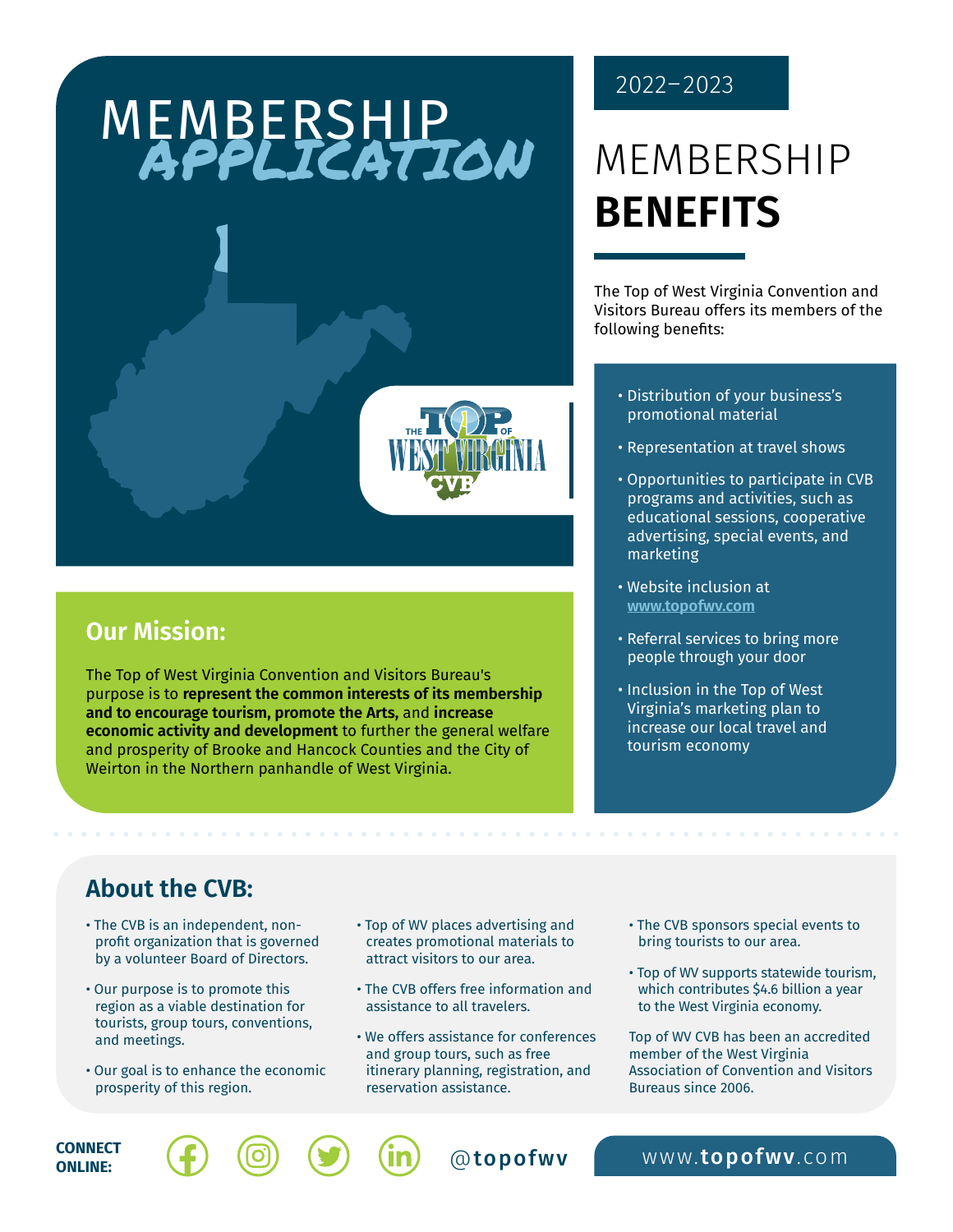# MEMBERSHIP<br>APPLICATION

The Top of West Virginia Convention and Visitors Bureau's purpose is to **represent the common interests of its membership and to encourage tourism, promote the Arts,** and **increase** 

Weirton in the Northern panhandle of West Virginia.

**economic activity and development** to further the general welfare and prosperity of Brooke and Hancock Counties and the City of



### MEMBERSHIP **BENEFITS**

The Top of West Virginia Convention and Visitors Bureau offers its members of the following benefits:

- Distribution of your business's promotional material
- Representation at travel shows
- Opportunities to participate in CVB programs and activities, such as educational sessions, cooperative advertising, special events, and marketing
- Website inclusion at **[www.topofwv.com](http://www.topofwv.com/members/)**
- Referral services to bring more people through your door
- Inclusion in the Top of West Virginia's marketing plan to increase our local travel and tourism economy

**Our Mission:**

#### **About the CVB:**

- The CVB is an independent, nonprofit organization that is governed by a volunteer Board of Directors.
- Our purpose is to promote this region as a viable destination for tourists, group tours, conventions, and meetings.
- Our goal is to enhance the economic prosperity of this region.
- Top of WV places advertising and creates promotional materials to attract visitors to our area.
- The CVB offers free information and assistance to all travelers.
- We offers assistance for conferences and group tours, such as free itinerary planning, registration, and reservation assistance.
- The CVB sponsors special events to bring tourists to our area.
- Top of WV supports statewide tourism, which contributes \$4.6 billion a year to the West Virginia economy.

Top of WV CVB has been an accredited member of the West Virginia Association of Convention and Visitors Bureaus since 2006.

**CONNECT**  $\left(\begin{matrix} \cdot \\ \cdot \\ \cdot \end{matrix}\right)$   $\left(\begin{matrix} \circ \\ \circ \\ \circ \end{matrix}\right)$   $\left(\begin{matrix} \cdot \\ \cdot \\ \cdot \\ \cdot \end{matrix}\right)$   $\left(\begin{matrix} \cdot \\ \cdot \\ \cdot \\ \cdot \end{matrix}\right)$   $\left(\begin{matrix} \cdot \\ \cdot \\ \cdot \\ \cdot \\ \cdot \end{matrix}\right)$   $\left(\begin{matrix} \cdot \\ \cdot \\ \cdot \\ \cdot \\ \cdot \end{matrix}\right)$   $\left(\begin{matrix} \cdot \\ \cdot \\ \cdot \\ \cdot \\ \cdot \end{matrix}\right)$   $\left(\begin{matrix} \cdot \\ \cdot$ **ONLINE:**